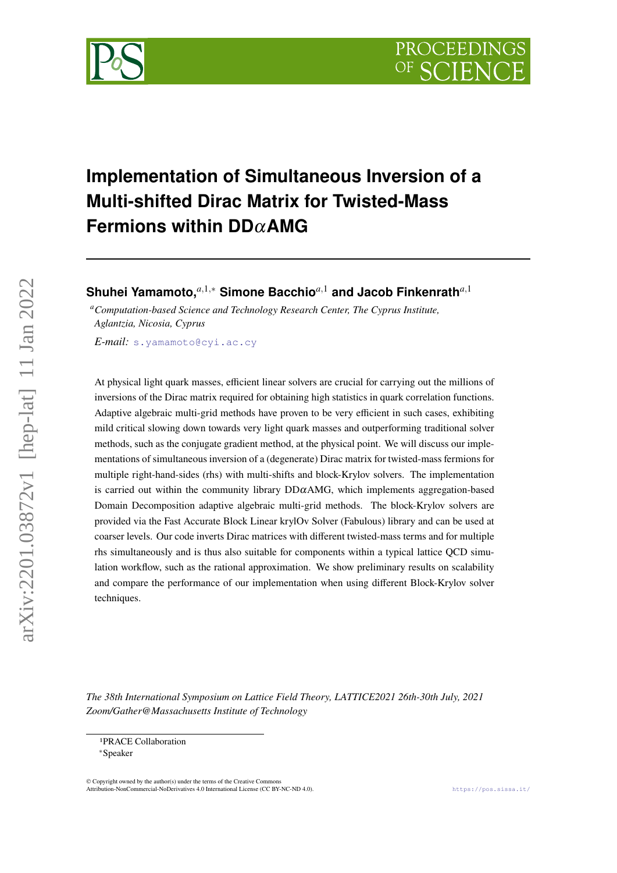

# **Implementation of Simultaneous Inversion of a Multi-shifted Dirac Matrix for Twisted-Mass Fermions within DD**α**AMG**

**Shuhei Yamamoto,***a*,1,<sup>∗</sup> **Simone Bacchio***a*,<sup>1</sup> **and Jacob Finkenrath***a*,<sup>1</sup>

*<sup>a</sup>Computation-based Science and Technology Research Center, The Cyprus Institute, Aglantzia, Nicosia, Cyprus*

*E-mail:* [s.yamamoto@cyi.ac.cy](mailto:s.yamamoto@cyi.ac.cy)

At physical light quark masses, efficient linear solvers are crucial for carrying out the millions of inversions of the Dirac matrix required for obtaining high statistics in quark correlation functions. Adaptive algebraic multi-grid methods have proven to be very efficient in such cases, exhibiting mild critical slowing down towards very light quark masses and outperforming traditional solver methods, such as the conjugate gradient method, at the physical point. We will discuss our implementations of simultaneous inversion of a (degenerate) Dirac matrix for twisted-mass fermions for multiple right-hand-sides (rhs) with multi-shifts and block-Krylov solvers. The implementation is carried out within the community library  $DD\alpha AMG$ , which implements aggregation-based Domain Decomposition adaptive algebraic multi-grid methods. The block-Krylov solvers are provided via the Fast Accurate Block Linear krylOv Solver (Fabulous) library and can be used at coarser levels. Our code inverts Dirac matrices with different twisted-mass terms and for multiple rhs simultaneously and is thus also suitable for components within a typical lattice QCD simulation workflow, such as the rational approximation. We show preliminary results on scalability and compare the performance of our implementation when using different Block-Krylov solver techniques.

*The 38th International Symposium on Lattice Field Theory, LATTICE2021 26th-30th July, 2021 Zoom/Gather@Massachusetts Institute of Technology*

© Copyright owned by the author(s) under the terms of the Creative Commons Attribution-NonCommercial-NoDerivatives 4.0 International License (CC BY-NC-ND 4.0). <https://pos.sissa.it/>

<sup>1</sup>PRACE Collaboration

<sup>∗</sup>Speaker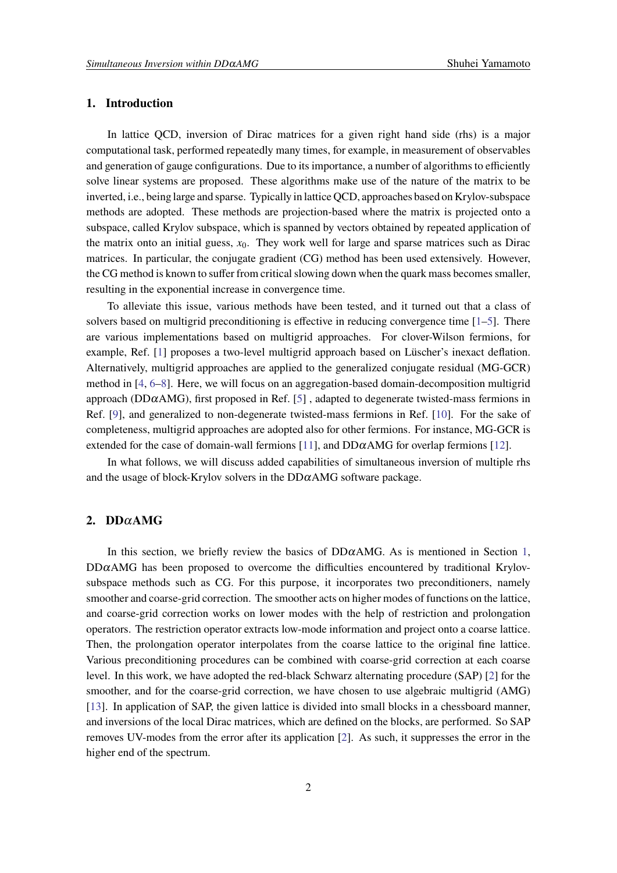# <span id="page-1-0"></span>**1. Introduction**

In lattice QCD, inversion of Dirac matrices for a given right hand side (rhs) is a major computational task, performed repeatedly many times, for example, in measurement of observables and generation of gauge configurations. Due to its importance, a number of algorithms to efficiently solve linear systems are proposed. These algorithms make use of the nature of the matrix to be inverted, i.e., being large and sparse. Typically in lattice QCD, approaches based on Krylov-subspace methods are adopted. These methods are projection-based where the matrix is projected onto a subspace, called Krylov subspace, which is spanned by vectors obtained by repeated application of the matrix onto an initial guess,  $x<sub>0</sub>$ . They work well for large and sparse matrices such as Dirac matrices. In particular, the conjugate gradient (CG) method has been used extensively. However, the CG method is known to suffer from critical slowing down when the quark mass becomes smaller, resulting in the exponential increase in convergence time.

To alleviate this issue, various methods have been tested, and it turned out that a class of solvers based on multigrid preconditioning is effective in reducing convergence time  $[1-5]$  $[1-5]$ . There are various implementations based on multigrid approaches. For clover-Wilson fermions, for example, Ref. [\[1\]](#page-7-0) proposes a two-level multigrid approach based on Lüscher's inexact deflation. Alternatively, multigrid approaches are applied to the generalized conjugate residual (MG-GCR) method in [\[4,](#page-8-1) [6](#page-8-2)[–8\]](#page-8-3). Here, we will focus on an aggregation-based domain-decomposition multigrid approach (DD $\alpha$ AMG), first proposed in Ref. [\[5\]](#page-8-0), adapted to degenerate twisted-mass fermions in Ref. [\[9\]](#page-8-4), and generalized to non-degenerate twisted-mass fermions in Ref. [\[10\]](#page-8-5). For the sake of completeness, multigrid approaches are adopted also for other fermions. For instance, MG-GCR is extended for the case of domain-wall fermions [\[11\]](#page-8-6), and  $DD\alpha$ AMG for overlap fermions [\[12\]](#page-8-7).

In what follows, we will discuss added capabilities of simultaneous inversion of multiple rhs and the usage of block-Krylov solvers in the  $DD\alpha$ AMG software package.

# **2. DD**α**AMG**

In this section, we briefly review the basics of  $DD\alpha AMG$ . As is mentioned in Section [1,](#page-1-0)  $DD\alpha$ AMG has been proposed to overcome the difficulties encountered by traditional Krylovsubspace methods such as CG. For this purpose, it incorporates two preconditioners, namely smoother and coarse-grid correction. The smoother acts on higher modes of functions on the lattice, and coarse-grid correction works on lower modes with the help of restriction and prolongation operators. The restriction operator extracts low-mode information and project onto a coarse lattice. Then, the prolongation operator interpolates from the coarse lattice to the original fine lattice. Various preconditioning procedures can be combined with coarse-grid correction at each coarse level. In this work, we have adopted the red-black Schwarz alternating procedure (SAP) [\[2\]](#page-8-8) for the smoother, and for the coarse-grid correction, we have chosen to use algebraic multigrid (AMG) [\[13\]](#page-8-9). In application of SAP, the given lattice is divided into small blocks in a chessboard manner, and inversions of the local Dirac matrices, which are defined on the blocks, are performed. So SAP removes UV-modes from the error after its application [\[2\]](#page-8-8). As such, it suppresses the error in the higher end of the spectrum.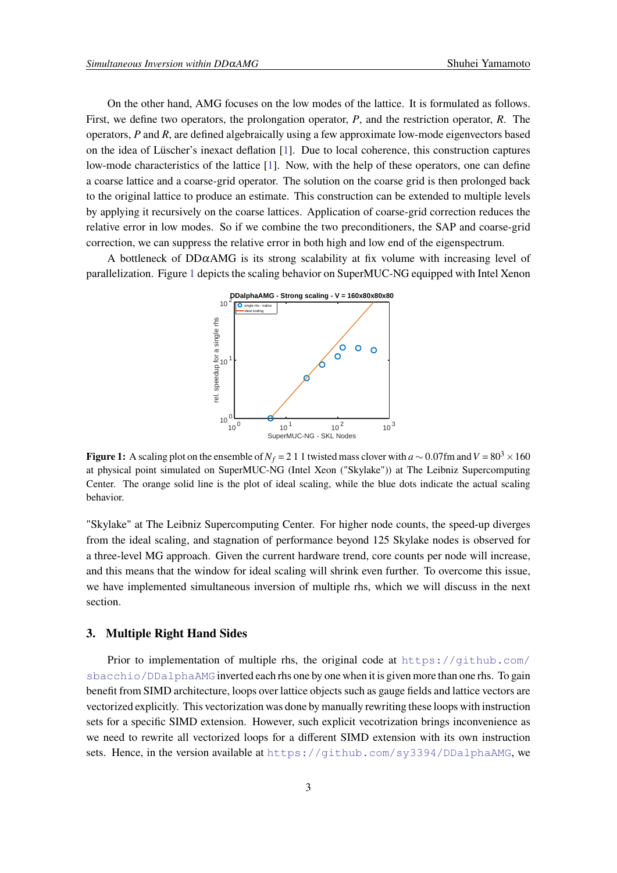On the other hand, AMG focuses on the low modes of the lattice. It is formulated as follows. First, we define two operators, the prolongation operator, *P*, and the restriction operator, *R*. The operators, *P* and *R*, are defined algebraically using a few approximate low-mode eigenvectors based on the idea of Lüscher's inexact deflation [\[1\]](#page-7-0). Due to local coherence, this construction captures low-mode characteristics of the lattice [\[1\]](#page-7-0). Now, with the help of these operators, one can define a coarse lattice and a coarse-grid operator. The solution on the coarse grid is then prolonged back to the original lattice to produce an estimate. This construction can be extended to multiple levels by applying it recursively on the coarse lattices. Application of coarse-grid correction reduces the relative error in low modes. So if we combine the two preconditioners, the SAP and coarse-grid correction, we can suppress the relative error in both high and low end of the eigenspectrum.

<span id="page-2-0"></span>A bottleneck of DD $\alpha$ AMG is its strong scalability at fix volume with increasing level of parallelization. Figure [1](#page-2-0) depicts the scaling behavior on SuperMUC-NG equipped with Intel Xenon



**Figure 1:** A scaling plot on the ensemble of  $N_f = 211$  twisted mass clover with  $a \sim 0.07$  fm and  $V = 80<sup>3</sup> \times 160$ at physical point simulated on SuperMUC-NG (Intel Xeon ("Skylake")) at The Leibniz Supercomputing Center. The orange solid line is the plot of ideal scaling, while the blue dots indicate the actual scaling behavior.

"Skylake" at The Leibniz Supercomputing Center. For higher node counts, the speed-up diverges from the ideal scaling, and stagnation of performance beyond 125 Skylake nodes is observed for a three-level MG approach. Given the current hardware trend, core counts per node will increase, and this means that the window for ideal scaling will shrink even further. To overcome this issue, we have implemented simultaneous inversion of multiple rhs, which we will discuss in the next section.

# **3. Multiple Right Hand Sides**

Prior to implementation of multiple rhs, the original code at  $https://github.com/$ [sbacchio/DDalphaAMG](https://github.com/sbacchio/DDalphaAMG) inverted each rhs one by one when it is given more than one rhs. To gain benefit from SIMD architecture, loops over lattice objects such as gauge fields and lattice vectors are vectorized explicitly. This vectorization was done by manually rewriting these loops with instruction sets for a specific SIMD extension. However, such explicit vecotrization brings inconvenience as we need to rewrite all vectorized loops for a different SIMD extension with its own instruction sets. Hence, in the version available at <https://github.com/sy3394/DDalphaAMG>, we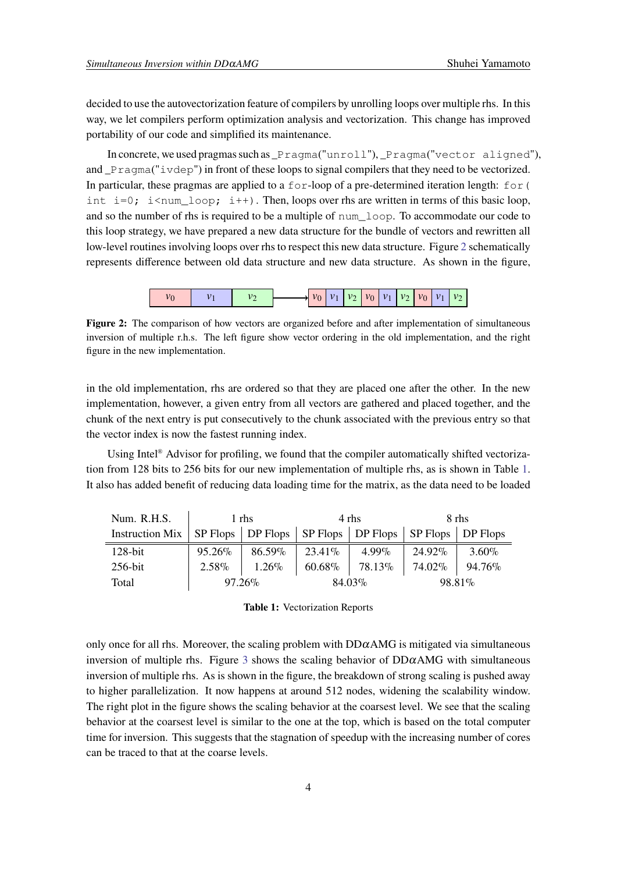decided to use the autovectorization feature of compilers by unrolling loops over multiple rhs. In this way, we let compilers perform optimization analysis and vectorization. This change has improved portability of our code and simplified its maintenance.

In concrete, we used pragmas such as \_Pragma("unroll"), \_Pragma("vector aligned"), and \_Pragma("ivdep") in front of these loops to signal compilers that they need to be vectorized. In particular, these pragmas are applied to a  $f \circ r$ -loop of a pre-determined iteration length:  $f \circ r$  ( int  $i=0$ ;  $i$ <num\_loop;  $i++$ ). Then, loops over rhs are written in terms of this basic loop, and so the number of rhs is required to be a multiple of num\_loop. To accommodate our code to this loop strategy, we have prepared a new data structure for the bundle of vectors and rewritten all low-level routines involving loops over rhs to respect this new data structure. Figure [2](#page-3-0) schematically represents difference between old data structure and new data structure. As shown in the figure,

|  |  |  |  | $ v_0 $ $v_1$ $ v_2 $ $v_0$ $ v_1 $ $v_2$ $ v_0 $ $v_1$ |  |  |
|--|--|--|--|---------------------------------------------------------|--|--|
|--|--|--|--|---------------------------------------------------------|--|--|

<span id="page-3-0"></span>**Figure 2:** The comparison of how vectors are organized before and after implementation of simultaneous inversion of multiple r.h.s. The left figure show vector ordering in the old implementation, and the right figure in the new implementation.

in the old implementation, rhs are ordered so that they are placed one after the other. In the new implementation, however, a given entry from all vectors are gathered and placed together, and the chunk of the next entry is put consecutively to the chunk associated with the previous entry so that the vector index is now the fastest running index.

Using Intel<sup>®</sup> Advisor for profiling, we found that the compiler automatically shifted vectorization from 128 bits to 256 bits for our new implementation of multiple rhs, as is shown in Table [1.](#page-3-1) It also has added benefit of reducing data loading time for the matrix, as the data need to be loaded

<span id="page-3-1"></span>

| Num. R.H.S.                                                                       | 1 rhs     |                  | 4 rhs            |                                         | 8 rhs  |          |
|-----------------------------------------------------------------------------------|-----------|------------------|------------------|-----------------------------------------|--------|----------|
| Instruction Mix   SP Flops   DP Flops   SP Flops   DP Flops   SP Flops   DP Flops |           |                  |                  |                                         |        |          |
| $128$ -bit                                                                        | 95.26%    | $86.59\%$        | 23.41\%   4.99\% |                                         | 24.92% | $3.60\%$ |
| 256-bit                                                                           |           | $2.58\%$   1.26% |                  | $60.68\%$   78.13\%   74.02\%   94.76\% |        |          |
| Total                                                                             | $97.26\%$ |                  | 84.03%           |                                         | 98.81% |          |

**Table 1:** Vectorization Reports

only once for all rhs. Moreover, the scaling problem with  $DD\alpha$ AMG is mitigated via simultaneous inversion of multiple rhs. Figure [3](#page-4-0) shows the scaling behavior of  $DD\alpha$ AMG with simultaneous inversion of multiple rhs. As is shown in the figure, the breakdown of strong scaling is pushed away to higher parallelization. It now happens at around 512 nodes, widening the scalability window. The right plot in the figure shows the scaling behavior at the coarsest level. We see that the scaling behavior at the coarsest level is similar to the one at the top, which is based on the total computer time for inversion. This suggests that the stagnation of speedup with the increasing number of cores can be traced to that at the coarse levels.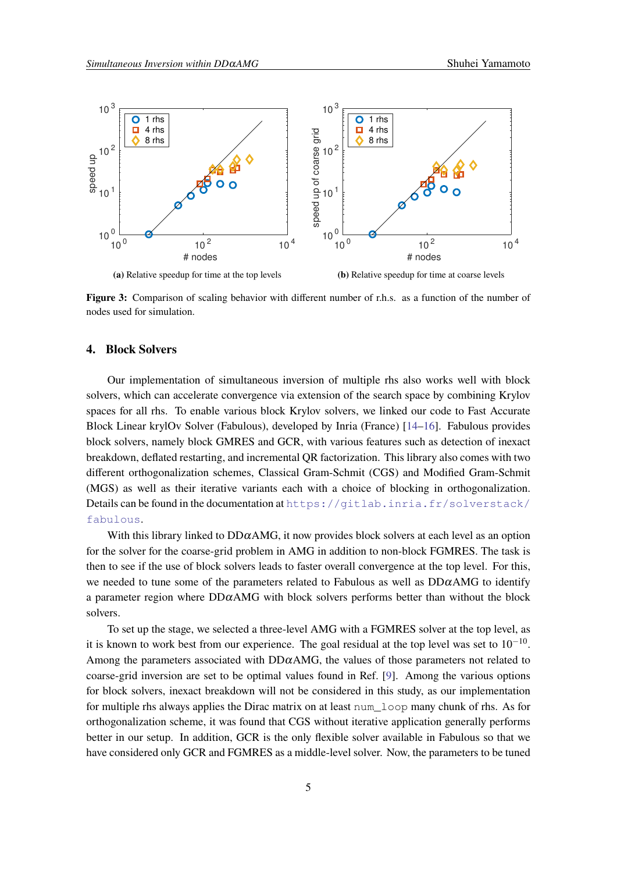<span id="page-4-0"></span>

**Figure 3:** Comparison of scaling behavior with different number of r.h.s. as a function of the number of nodes used for simulation.

### **4. Block Solvers**

Our implementation of simultaneous inversion of multiple rhs also works well with block solvers, which can accelerate convergence via extension of the search space by combining Krylov spaces for all rhs. To enable various block Krylov solvers, we linked our code to Fast Accurate Block Linear krylOv Solver (Fabulous), developed by Inria (France) [\[14–](#page-8-10)[16\]](#page-9-0). Fabulous provides block solvers, namely block GMRES and GCR, with various features such as detection of inexact breakdown, deflated restarting, and incremental QR factorization. This library also comes with two different orthogonalization schemes, Classical Gram-Schmit (CGS) and Modified Gram-Schmit (MGS) as well as their iterative variants each with a choice of blocking in orthogonalization. Details can be found in the documentation at [https://gitlab.inria.fr/solverstack/](https://gitlab.inria.fr/solverstack/fabulous) [fabulous](https://gitlab.inria.fr/solverstack/fabulous).

With this library linked to  $DD\alpha AMG$ , it now provides block solvers at each level as an option for the solver for the coarse-grid problem in AMG in addition to non-block FGMRES. The task is then to see if the use of block solvers leads to faster overall convergence at the top level. For this, we needed to tune some of the parameters related to Fabulous as well as  $DD\alpha$ AMG to identify a parameter region where  $DD\alpha$ AMG with block solvers performs better than without the block solvers.

To set up the stage, we selected a three-level AMG with a FGMRES solver at the top level, as it is known to work best from our experience. The goal residual at the top level was set to  $10^{-10}$ . Among the parameters associated with  $DD\alpha$ AMG, the values of those parameters not related to coarse-grid inversion are set to be optimal values found in Ref. [\[9\]](#page-8-4). Among the various options for block solvers, inexact breakdown will not be considered in this study, as our implementation for multiple rhs always applies the Dirac matrix on at least num\_loop many chunk of rhs. As for orthogonalization scheme, it was found that CGS without iterative application generally performs better in our setup. In addition, GCR is the only flexible solver available in Fabulous so that we have considered only GCR and FGMRES as a middle-level solver. Now, the parameters to be tuned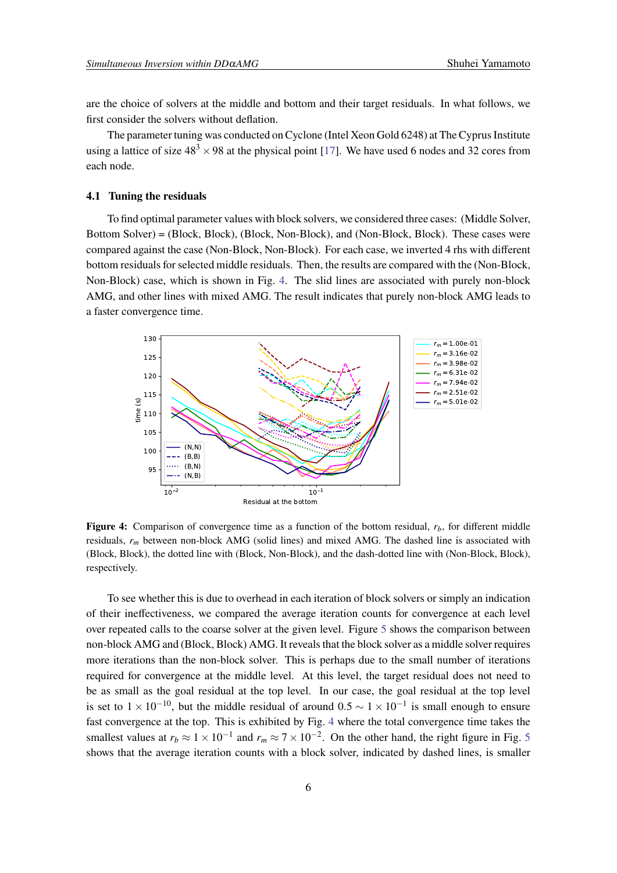are the choice of solvers at the middle and bottom and their target residuals. In what follows, we first consider the solvers without deflation.

The parameter tuning was conducted on Cyclone (Intel Xeon Gold 6248) at The Cyprus Institute using a lattice of size  $48<sup>3</sup> \times 98$  at the physical point [\[17\]](#page-9-1). We have used 6 nodes and 32 cores from each node.

#### **4.1 Tuning the residuals**

To find optimal parameter values with block solvers, we considered three cases: (Middle Solver, Bottom Solver) = (Block, Block), (Block, Non-Block), and (Non-Block, Block). These cases were compared against the case (Non-Block, Non-Block). For each case, we inverted 4 rhs with different bottom residuals for selected middle residuals. Then, the results are compared with the (Non-Block, Non-Block) case, which is shown in Fig. [4.](#page-5-0) The slid lines are associated with purely non-block AMG, and other lines with mixed AMG. The result indicates that purely non-block AMG leads to a faster convergence time.

<span id="page-5-0"></span>

**Figure 4:** Comparison of convergence time as a function of the bottom residual, *rb*, for different middle residuals, *r<sup>m</sup>* between non-block AMG (solid lines) and mixed AMG. The dashed line is associated with (Block, Block), the dotted line with (Block, Non-Block), and the dash-dotted line with (Non-Block, Block), respectively.

To see whether this is due to overhead in each iteration of block solvers or simply an indication of their ineffectiveness, we compared the average iteration counts for convergence at each level over repeated calls to the coarse solver at the given level. Figure [5](#page-6-0) shows the comparison between non-block AMG and (Block, Block) AMG. It reveals that the block solver as a middle solver requires more iterations than the non-block solver. This is perhaps due to the small number of iterations required for convergence at the middle level. At this level, the target residual does not need to be as small as the goal residual at the top level. In our case, the goal residual at the top level is set to  $1 \times 10^{-10}$ , but the middle residual of around  $0.5 \sim 1 \times 10^{-1}$  is small enough to ensure fast convergence at the top. This is exhibited by Fig. [4](#page-5-0) where the total convergence time takes the smallest values at  $r_b \approx 1 \times 10^{-1}$  and  $r_m \approx 7 \times 10^{-2}$ . On the other hand, the right figure in Fig. [5](#page-6-0) shows that the average iteration counts with a block solver, indicated by dashed lines, is smaller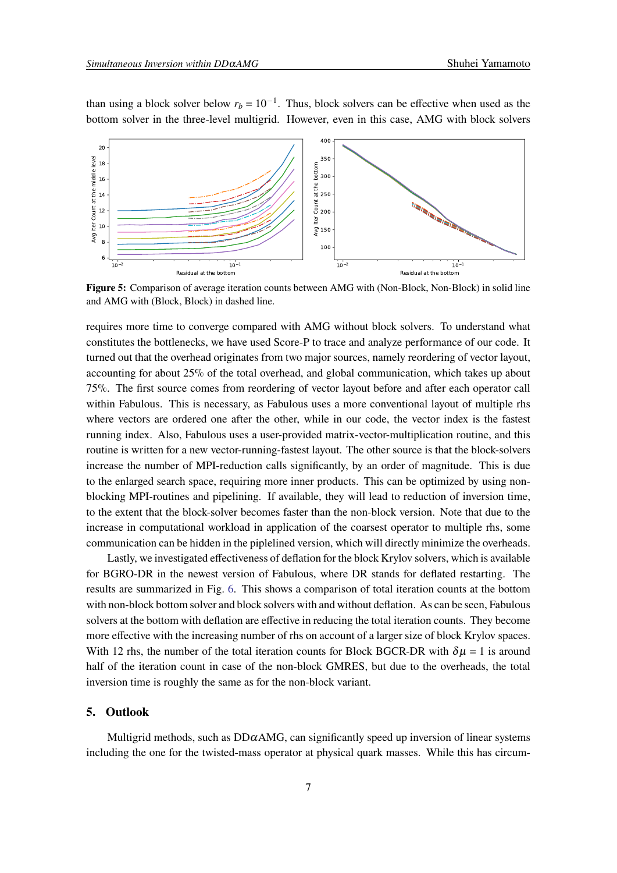<span id="page-6-0"></span>

than using a block solver below  $r_b = 10^{-1}$ . Thus, block solvers can be effective when used as the bottom solver in the three-level multigrid. However, even in this case, AMG with block solvers

**Figure 5:** Comparison of average iteration counts between AMG with (Non-Block, Non-Block) in solid line and AMG with (Block, Block) in dashed line.

requires more time to converge compared with AMG without block solvers. To understand what constitutes the bottlenecks, we have used Score-P to trace and analyze performance of our code. It turned out that the overhead originates from two major sources, namely reordering of vector layout, accounting for about 25% of the total overhead, and global communication, which takes up about 75%. The first source comes from reordering of vector layout before and after each operator call within Fabulous. This is necessary, as Fabulous uses a more conventional layout of multiple rhs where vectors are ordered one after the other, while in our code, the vector index is the fastest running index. Also, Fabulous uses a user-provided matrix-vector-multiplication routine, and this routine is written for a new vector-running-fastest layout. The other source is that the block-solvers increase the number of MPI-reduction calls significantly, by an order of magnitude. This is due to the enlarged search space, requiring more inner products. This can be optimized by using nonblocking MPI-routines and pipelining. If available, they will lead to reduction of inversion time, to the extent that the block-solver becomes faster than the non-block version. Note that due to the increase in computational workload in application of the coarsest operator to multiple rhs, some communication can be hidden in the piplelined version, which will directly minimize the overheads.

Lastly, we investigated effectiveness of deflation for the block Krylov solvers, which is available for BGRO-DR in the newest version of Fabulous, where DR stands for deflated restarting. The results are summarized in Fig. [6.](#page-7-1) This shows a comparison of total iteration counts at the bottom with non-block bottom solver and block solvers with and without deflation. As can be seen, Fabulous solvers at the bottom with deflation are effective in reducing the total iteration counts. They become more effective with the increasing number of rhs on account of a larger size of block Krylov spaces. With 12 rhs, the number of the total iteration counts for Block BGCR-DR with  $\delta \mu = 1$  is around half of the iteration count in case of the non-block GMRES, but due to the overheads, the total inversion time is roughly the same as for the non-block variant.

# **5. Outlook**

Multigrid methods, such as  $DD\alpha$ AMG, can significantly speed up inversion of linear systems including the one for the twisted-mass operator at physical quark masses. While this has circum-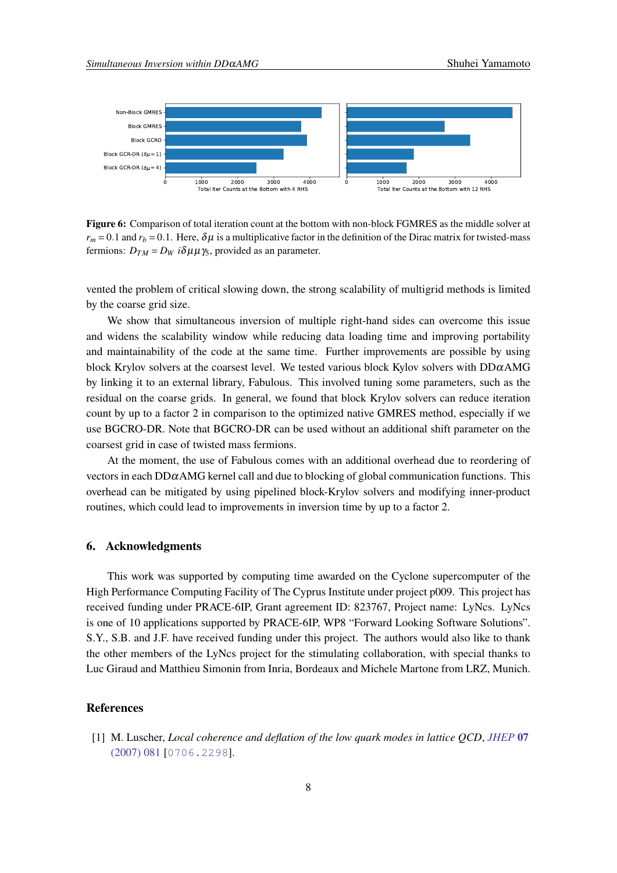<span id="page-7-1"></span>

**Figure 6:** Comparison of total iteration count at the bottom with non-block FGMRES as the middle solver at  $r_m$  = 0.1 and  $r_b$  = 0.1. Here,  $\delta \mu$  is a multiplicative factor in the definition of the Dirac matrix for twisted-mass fermions:  $D_{TM} = D_W i \delta \mu \mu \gamma_5$ , provided as an parameter.

vented the problem of critical slowing down, the strong scalability of multigrid methods is limited by the coarse grid size.

We show that simultaneous inversion of multiple right-hand sides can overcome this issue and widens the scalability window while reducing data loading time and improving portability and maintainability of the code at the same time. Further improvements are possible by using block Krylov solvers at the coarsest level. We tested various block Kylov solvers with  $DD\alphaAMG$ by linking it to an external library, Fabulous. This involved tuning some parameters, such as the residual on the coarse grids. In general, we found that block Krylov solvers can reduce iteration count by up to a factor 2 in comparison to the optimized native GMRES method, especially if we use BGCRO-DR. Note that BGCRO-DR can be used without an additional shift parameter on the coarsest grid in case of twisted mass fermions.

At the moment, the use of Fabulous comes with an additional overhead due to reordering of vectors in each  $DD\alpha$ AMG kernel call and due to blocking of global communication functions. This overhead can be mitigated by using pipelined block-Krylov solvers and modifying inner-product routines, which could lead to improvements in inversion time by up to a factor 2.

#### **6. Acknowledgments**

This work was supported by computing time awarded on the Cyclone supercomputer of the High Performance Computing Facility of The Cyprus Institute under project p009. This project has received funding under PRACE-6IP, Grant agreement ID: 823767, Project name: LyNcs. LyNcs is one of 10 applications supported by PRACE-6IP, WP8 "Forward Looking Software Solutions". S.Y., S.B. and J.F. have received funding under this project. The authors would also like to thank the other members of the LyNcs project for the stimulating collaboration, with special thanks to Luc Giraud and Matthieu Simonin from Inria, Bordeaux and Michele Martone from LRZ, Munich.

# **References**

<span id="page-7-0"></span>[1] M. Luscher, *Local coherence and deflation of the low quark modes in lattice QCD*, *[JHEP](https://doi.org/10.1088/1126-6708/2007/07/081)* **07** [\(2007\) 081](https://doi.org/10.1088/1126-6708/2007/07/081) [[0706.2298](https://arxiv.org/abs/0706.2298)].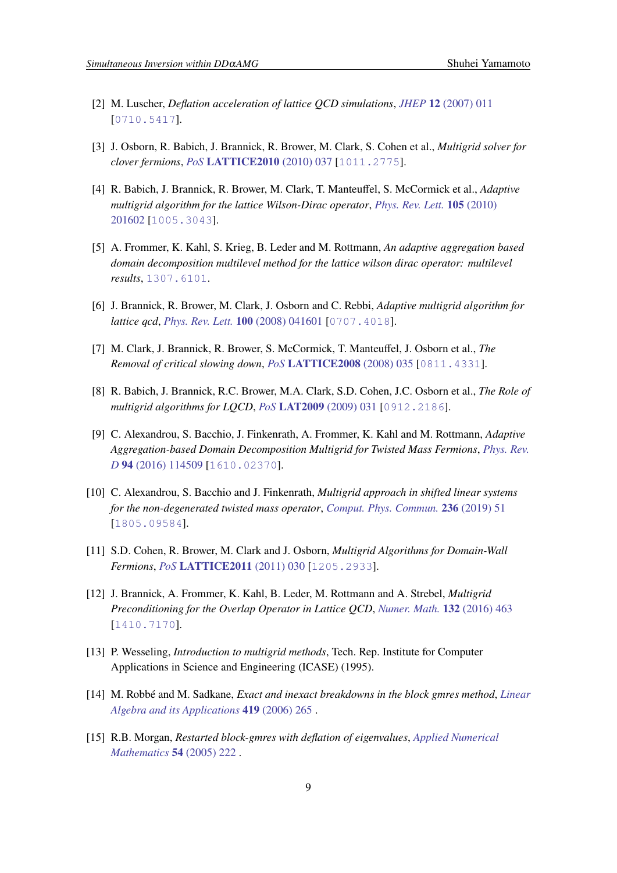- <span id="page-8-8"></span>[2] M. Luscher, *Deflation acceleration of lattice QCD simulations*, *JHEP* **12** [\(2007\) 011](https://doi.org/10.1088/1126-6708/2007/12/011) [[0710.5417](https://arxiv.org/abs/0710.5417)].
- [3] J. Osborn, R. Babich, J. Brannick, R. Brower, M. Clark, S. Cohen et al., *Multigrid solver for clover fermions*, *PoS* **[LATTICE2010](https://doi.org/10.22323/1.105.0037)** (2010) 037 [[1011.2775](https://arxiv.org/abs/1011.2775)].
- <span id="page-8-1"></span>[4] R. Babich, J. Brannick, R. Brower, M. Clark, T. Manteuffel, S. McCormick et al., *Adaptive multigrid algorithm for the lattice Wilson-Dirac operator*, *[Phys. Rev. Lett.](https://doi.org/10.1103/PhysRevLett.105.201602)* **105** (2010) [201602](https://doi.org/10.1103/PhysRevLett.105.201602) [[1005.3043](https://arxiv.org/abs/1005.3043)].
- <span id="page-8-0"></span>[5] A. Frommer, K. Kahl, S. Krieg, B. Leder and M. Rottmann, *An adaptive aggregation based domain decomposition multilevel method for the lattice wilson dirac operator: multilevel results*, [1307.6101](https://arxiv.org/abs/1307.6101).
- <span id="page-8-2"></span>[6] J. Brannick, R. Brower, M. Clark, J. Osborn and C. Rebbi, *Adaptive multigrid algorithm for lattice qcd*, *[Phys. Rev. Lett.](https://doi.org/10.1103/PhysRevLett.100.041601)* **100** (2008) 041601 [[0707.4018](https://arxiv.org/abs/0707.4018)].
- [7] M. Clark, J. Brannick, R. Brower, S. McCormick, T. Manteuffel, J. Osborn et al., *The Removal of critical slowing down*, *PoS* **[LATTICE2008](https://doi.org/10.22323/1.066.0035)** (2008) 035 [[0811.4331](https://arxiv.org/abs/0811.4331)].
- <span id="page-8-3"></span>[8] R. Babich, J. Brannick, R.C. Brower, M.A. Clark, S.D. Cohen, J.C. Osborn et al., *The Role of multigrid algorithms for LQCD*, *PoS* **[LAT2009](https://doi.org/10.22323/1.091.0031)** (2009) 031 [[0912.2186](https://arxiv.org/abs/0912.2186)].
- <span id="page-8-4"></span>[9] C. Alexandrou, S. Bacchio, J. Finkenrath, A. Frommer, K. Kahl and M. Rottmann, *Adaptive Aggregation-based Domain Decomposition Multigrid for Twisted Mass Fermions*, *[Phys. Rev.](https://doi.org/10.1103/PhysRevD.94.114509) D* **94** [\(2016\) 114509](https://doi.org/10.1103/PhysRevD.94.114509) [[1610.02370](https://arxiv.org/abs/1610.02370)].
- <span id="page-8-5"></span>[10] C. Alexandrou, S. Bacchio and J. Finkenrath, *Multigrid approach in shifted linear systems for the non-degenerated twisted mass operator*, *[Comput. Phys. Commun.](https://doi.org/10.1016/j.cpc.2018.10.013)* **236** (2019) 51 [[1805.09584](https://arxiv.org/abs/1805.09584)].
- <span id="page-8-6"></span>[11] S.D. Cohen, R. Brower, M. Clark and J. Osborn, *Multigrid Algorithms for Domain-Wall Fermions*, *PoS* **[LATTICE2011](https://doi.org/10.22323/1.139.0030)** (2011) 030 [[1205.2933](https://arxiv.org/abs/1205.2933)].
- <span id="page-8-7"></span>[12] J. Brannick, A. Frommer, K. Kahl, B. Leder, M. Rottmann and A. Strebel, *Multigrid Preconditioning for the Overlap Operator in Lattice QCD*, *[Numer. Math.](https://doi.org/10.1007/s00211-015-0725-6)* **132** (2016) 463 [[1410.7170](https://arxiv.org/abs/1410.7170)].
- <span id="page-8-9"></span>[13] P. Wesseling, *Introduction to multigrid methods*, Tech. Rep. Institute for Computer Applications in Science and Engineering (ICASE) (1995).
- <span id="page-8-10"></span>[14] M. Robbé and M. Sadkane, *Exact and inexact breakdowns in the block gmres method*, *[Linear](https://doi.org/https://doi.org/10.1016/j.laa.2006.04.018) [Algebra and its Applications](https://doi.org/https://doi.org/10.1016/j.laa.2006.04.018)* **419** (2006) 265 .
- [15] R.B. Morgan, *Restarted block-gmres with deflation of eigenvalues*, *[Applied Numerical](https://doi.org/https://doi.org/10.1016/j.apnum.2004.09.028) [Mathematics](https://doi.org/https://doi.org/10.1016/j.apnum.2004.09.028)* **54** (2005) 222 .